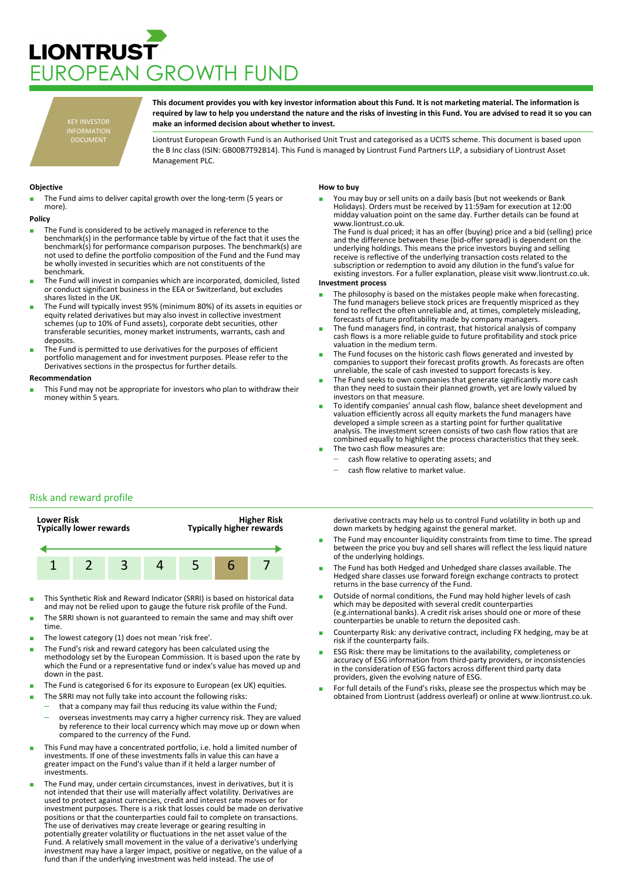# **LIONTRUST** JROPEAN GROWTH FUND

KEY INVESTOR INFORMATION DOCUMENT

**This document provides you with key investor information about this Fund. It is not marketing material. The information is required by law to help you understand the nature and the risks of investing in this Fund. You are advised to read it so you can make an informed decision about whether to invest.**

Liontrust European Growth Fund is an Authorised Unit Trust and categorised as a UCITS scheme. This document is based upon the B Inc class (ISIN: GB00B7T92B14). This Fund is managed by Liontrust Fund Partners LLP, a subsidiary of Liontrust Asset Management PLC.

## **Objective**

The Fund aims to deliver capital growth over the long-term (5 years or more).

#### **Policy**

- The Fund is considered to be actively managed in reference to the benchmark(s) in the performance table by virtue of the fact that it uses the benchmark(s) for performance comparison purposes. The benchmark(s) are not used to define the portfolio composition of the Fund and the Fund may be wholly invested in securities which are not constituents of the benchmark.
- The Fund will invest in companies which are incorporated, domiciled, listed or conduct significant business in the EEA or Switzerland, but excludes shares listed in the UK.
- The Fund will typically invest 95% (minimum 80%) of its assets in equities or equity related derivatives but may also invest in collective investment schemes (up to 10% of Fund assets), corporate debt securities, other transferable securities, money market instruments, warrants, cash and deposits.
- The Fund is permitted to use derivatives for the purposes of efficient portfolio management and for investment purposes. Please refer to the Derivatives sections in the prospectus for further details.

#### **Recommendation**

This Fund may not be appropriate for investors who plan to withdraw their money within 5 years.

## **How to buy**

You may buy or sell units on a daily basis (but not weekends or Bank Holidays). Orders must be received by 11:59am for execution at 12:00 midday valuation point on the same day. Further details can be found at www.liontrust.co.uk.

The Fund is dual priced; it has an offer (buying) price and a bid (selling) price and the difference between these (bid-offer spread) is dependent on the underlying holdings. This means the price investors buying and selling receive is reflective of the underlying transaction costs related to the subscription or redemption to avoid any dilution in the fund's value for existing investors. For a fuller explanation, please visit www.liontrust.co.uk.

#### **Investment process**

- The philosophy is based on the mistakes people make when forecasting. The fund managers believe stock prices are frequently mispriced as they tend to reflect the often unreliable and, at times, completely misleading, forecasts of future profitability made by company managers.
- The fund managers find, in contrast, that historical analysis of company cash flows is a more reliable guide to future profitability and stock price valuation in the medium term.
- The Fund focuses on the historic cash flows generated and invested by companies to support their forecast profits growth. As forecasts are often unreliable, the scale of cash invested to support forecasts is key.
- The Fund seeks to own companies that generate significantly more cash than they need to sustain their planned growth, yet are lowly valued by investors on that measure.
- To identify companies' annual cash flow, balance sheet development and valuation efficiently across all equity markets the fund managers have developed a simple screen as a starting point for further qualitative analysis. The investment screen consists of two cash flow ratios that are combined equally to highlight the process characteristics that they seek. The two cash flow measures are:
	- cash flow relative to operating assets; and
	-
	- cash flow relative to market value.

# Risk and reward profile



- This Synthetic Risk and Reward Indicator (SRRI) is based on historical data and may not be relied upon to gauge the future risk profile of the Fund.
- The SRRI shown is not guaranteed to remain the same and may shift over time.
- The lowest category (1) does not mean 'risk free'.
- The Fund's risk and reward category has been calculated using the methodology set by the European Commission. It is based upon the rate by which the Fund or a representative fund or index's value has moved up and down in the past.
- The Fund is categorised 6 for its exposure to European (ex UK) equities.
- The SRRI may not fully take into account the following risks:
- that a company may fail thus reducing its value within the Fund;
	- overseas investments may carry a higher currency risk. They are valued by reference to their local currency which may move up or down when compared to the currency of the Fund.
- This Fund may have a concentrated portfolio, i.e. hold a limited number of investments. If one of these investments falls in value this can have a greater impact on the Fund's value than if it held a larger number of investments.
- The Fund may, under certain circumstances, invest in derivatives, but it is not intended that their use will materially affect volatility. Derivatives are used to protect against currencies, credit and interest rate moves or for investment purposes. There is a risk that losses could be made on derivative positions or that the counterparties could fail to complete on transactions. The use of derivatives may create leverage or gearing resulting in potentially greater volatility or fluctuations in the net asset value of the Fund. A relatively small movement in the value of a derivative's underlying investment may have a larger impact, positive or negative, on the value of a fund than if the underlying investment was held instead. The use of

derivative contracts may help us to control Fund volatility in both up and down markets by hedging against the general market.

- The Fund may encounter liquidity constraints from time to time. The spread between the price you buy and sell shares will reflect the less liquid nature of the underlying holdings.
- The Fund has both Hedged and Unhedged share classes available. The Hedged share classes use forward foreign exchange contracts to protect returns in the base currency of the Fund.
- Outside of normal conditions, the Fund may hold higher levels of cash which may be deposited with several credit counterparties (e.g.international banks). A credit risk arises should one or more of these counterparties be unable to return the deposited cash.
- Counterparty Risk: any derivative contract, including FX hedging, may be at risk if the counterparty fails.
- ESG Risk: there may be limitations to the availability, completeness or accuracy of ESG information from third-party providers, or inconsistencies in the consideration of ESG factors across different third party data providers, given the evolving nature of ESG.
- For full details of the Fund's risks, please see the prospectus which may be obtained from Liontrust (address overleaf) or online at www.liontrust.co.uk.